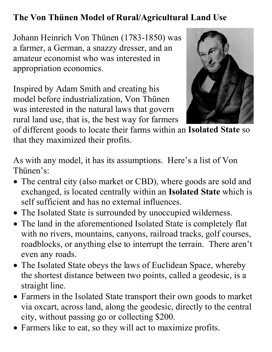## **The Von Thünen Model of Rural/Agricultural Land Use**

Johann Heinrich Von Thünen (1783-1850) was a farmer, a German, a snazzy dresser, and an amateur economist who was interested in appropriation economics.

Inspired by Adam Smith and creating his model before industrialization, Von Thünen was interested in the natural laws that govern rural land use, that is, the best way for farmers



of different goods to locate their farms within an **Isolated State** so that they maximized their profits.

As with any model, it has its assumptions. Here's a list of Von Thünen's:

- The central city (also market or CBD), where goods are sold and exchanged, is located centrally within an **Isolated State** which is self sufficient and has no external influences.
- The Isolated State is surrounded by unoccupied wilderness.
- The land in the aforementioned Isolated State is completely flat with no rivers, mountains, canyons, railroad tracks, golf courses, roadblocks, or anything else to interrupt the terrain. There aren't even any roads.
- The Isolated State obeys the laws of Euclidean Space, whereby the shortest distance between two points, called a geodesic, is a straight line.
- Farmers in the Isolated State transport their own goods to market via oxcart, across land, along the geodesic, directly to the central city, without passing go or collecting \$200.
- Farmers like to eat, so they will act to maximize profits.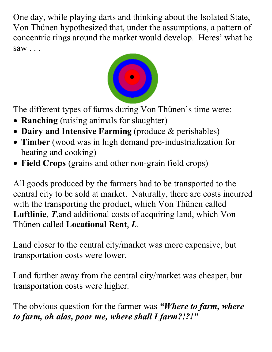One day, while playing darts and thinking about the Isolated State, Von Thünen hypothesized that, under the assumptions, a pattern of concentric rings around the market would develop. Heres' what he saw . . .



The different types of farms during Von Thünen's time were:

- **Ranching** (raising animals for slaughter)
- **Dairy and Intensive Farming** (produce & perishables)
- **Timber** (wood was in high demand pre-industrialization for heating and cooking)
- **Field Crops** (grains and other non-grain field crops)

All goods produced by the farmers had to be transported to the central city to be sold at market. Naturally, there are costs incurred with the transporting the product, which Von Thünen called **Luftlinie**, *T*,and additional costs of acquiring land, which Von Thünen called **Locational Rent**, *L*.

Land closer to the central city/market was more expensive, but transportation costs were lower.

Land further away from the central city/market was cheaper, but transportation costs were higher.

The obvious question for the farmer was *"Where to farm, where to farm, oh alas, poor me, where shall I farm?!?!"*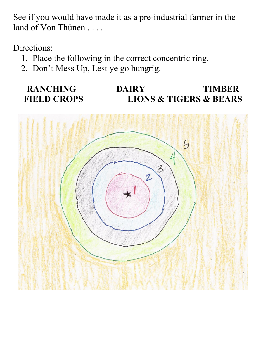See if you would have made it as a pre-industrial farmer in the land of Von Thünen . . . .

Directions:

- 1. Place the following in the correct concentric ring.
- 2. Don't Mess Up, Lest ye go hungrig.

## **RANCHING DAIRY TIMBER FIELD CROPS LIONS & TIGERS & BEARS**

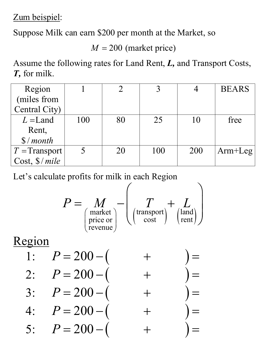Zum beispiel:

Suppose Milk can earn \$200 per month at the Market, so

 $M = 200$  (market price)

Assume the following rates for Land Rent, *L,* and Transport Costs, *T,* for milk.

| Region                 |     |    |     |     | <b>BEARS</b> |
|------------------------|-----|----|-----|-----|--------------|
| (miles from            |     |    |     |     |              |
| Central City)          |     |    |     |     |              |
| $L =$ Land             | 100 | 80 | 25  | 10  | free         |
| Rent,                  |     |    |     |     |              |
| $\frac{s}{\mod h}$     |     |    |     |     |              |
| $T =$ Transport        |     | 20 | 100 | 200 | $Arm+Leg$    |
| Cost, $\frac{s}{mile}$ |     |    |     |     |              |

Let's calculate profits for milk in each Region

$$
P = \underset{\text{price or}}{M} - \left(\underset{\text{revenue}}{T} + \underset{\text{const}}{L}\right)
$$

Region

| 1: $P = 200 - ($ | $+$ | $) =$ |
|------------------|-----|-------|
| 2: $P = 200 - ($ | $+$ | $) =$ |
| 3: $P = 200 - ($ | $+$ | $) =$ |
| 4: $P = 200 - ($ | $+$ | $) =$ |
| 5: $P = 200 - ($ | $+$ | $) =$ |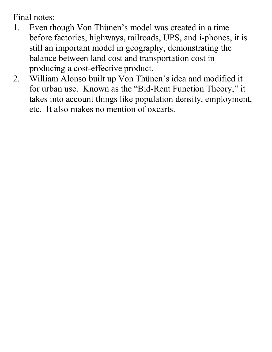Final notes:

- 1. Even though Von Thünen's model was created in a time before factories, highways, railroads, UPS, and i-phones, it is still an important model in geography, demonstrating the balance between land cost and transportation cost in producing a cost-effective product.
- 2. William Alonso built up Von Thünen's idea and modified it for urban use. Known as the "Bid-Rent Function Theory," it takes into account things like population density, employment, etc. It also makes no mention of oxcarts.